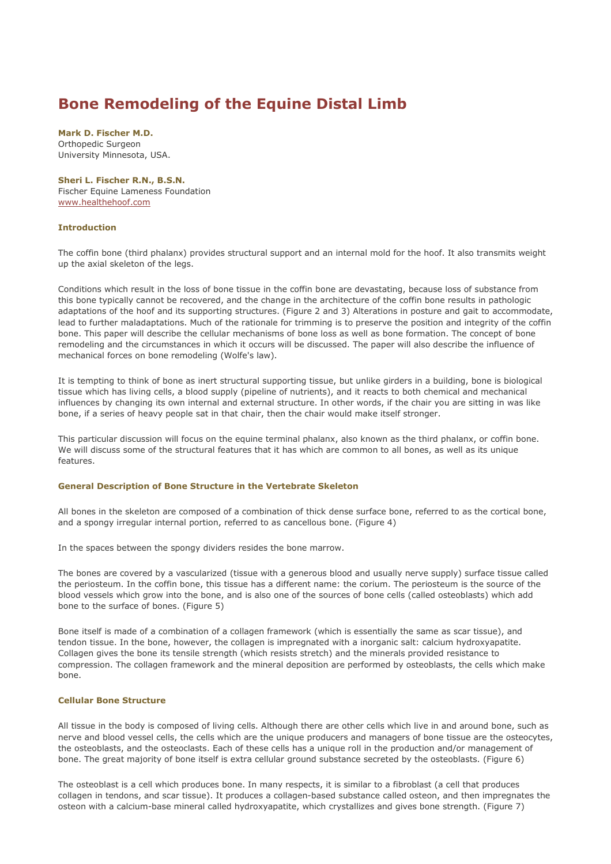# Bone Remodeling of the Equine Distal Limb

Mark D. Fischer M.D. Orthopedic Surgeon University Minnesota, USA.

#### Sheri L. Fischer R.N., B.S.N.

Fischer Equine Lameness Foundation www.healthehoof.com

## Introduction

The coffin bone (third phalanx) provides structural support and an internal mold for the hoof. It also transmits weight up the axial skeleton of the legs.

Conditions which result in the loss of bone tissue in the coffin bone are devastating, because loss of substance from this bone typically cannot be recovered, and the change in the architecture of the coffin bone results in pathologic adaptations of the hoof and its supporting structures. (Figure 2 and 3) Alterations in posture and gait to accommodate, lead to further maladaptations. Much of the rationale for trimming is to preserve the position and integrity of the coffin bone. This paper will describe the cellular mechanisms of bone loss as well as bone formation. The concept of bone remodeling and the circumstances in which it occurs will be discussed. The paper will also describe the influence of mechanical forces on bone remodeling (Wolfe's law).

It is tempting to think of bone as inert structural supporting tissue, but unlike girders in a building, bone is biological tissue which has living cells, a blood supply (pipeline of nutrients), and it reacts to both chemical and mechanical influences by changing its own internal and external structure. In other words, if the chair you are sitting in was like bone, if a series of heavy people sat in that chair, then the chair would make itself stronger.

This particular discussion will focus on the equine terminal phalanx, also known as the third phalanx, or coffin bone. We will discuss some of the structural features that it has which are common to all bones, as well as its unique features.

# General Description of Bone Structure in the Vertebrate Skeleton

All bones in the skeleton are composed of a combination of thick dense surface bone, referred to as the cortical bone, and a spongy irregular internal portion, referred to as cancellous bone. (Figure 4)

In the spaces between the spongy dividers resides the bone marrow.

The bones are covered by a vascularized (tissue with a generous blood and usually nerve supply) surface tissue called the periosteum. In the coffin bone, this tissue has a different name: the corium. The periosteum is the source of the blood vessels which grow into the bone, and is also one of the sources of bone cells (called osteoblasts) which add bone to the surface of bones. (Figure 5)

Bone itself is made of a combination of a collagen framework (which is essentially the same as scar tissue), and tendon tissue. In the bone, however, the collagen is impregnated with a inorganic salt: calcium hydroxyapatite. Collagen gives the bone its tensile strength (which resists stretch) and the minerals provided resistance to compression. The collagen framework and the mineral deposition are performed by osteoblasts, the cells which make bone.

# Cellular Bone Structure

All tissue in the body is composed of living cells. Although there are other cells which live in and around bone, such as nerve and blood vessel cells, the cells which are the unique producers and managers of bone tissue are the osteocytes, the osteoblasts, and the osteoclasts. Each of these cells has a unique roll in the production and/or management of bone. The great majority of bone itself is extra cellular ground substance secreted by the osteoblasts. (Figure 6)

The osteoblast is a cell which produces bone. In many respects, it is similar to a fibroblast (a cell that produces collagen in tendons, and scar tissue). It produces a collagen-based substance called osteon, and then impregnates the osteon with a calcium-base mineral called hydroxyapatite, which crystallizes and gives bone strength. (Figure 7)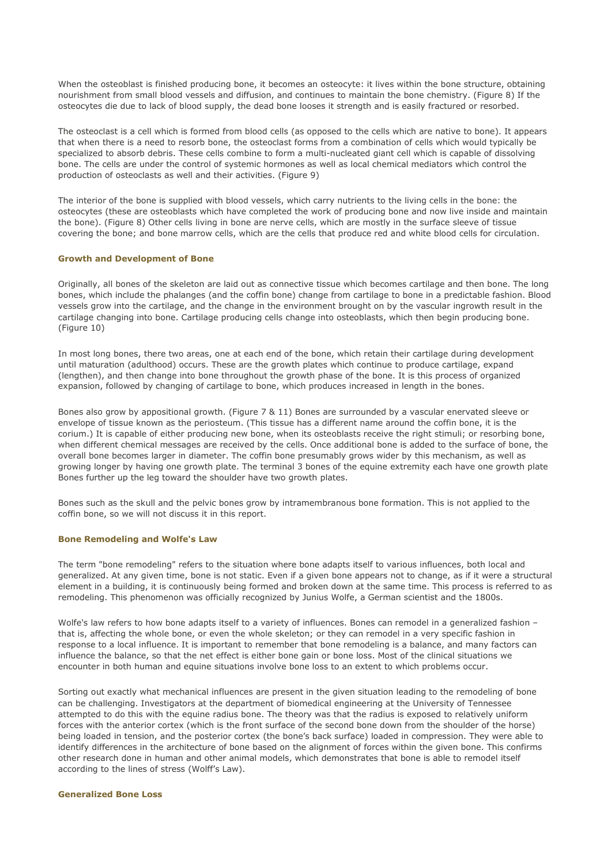When the osteoblast is finished producing bone, it becomes an osteocyte: it lives within the bone structure, obtaining nourishment from small blood vessels and diffusion, and continues to maintain the bone chemistry. (Figure 8) If the osteocytes die due to lack of blood supply, the dead bone looses it strength and is easily fractured or resorbed.

The osteoclast is a cell which is formed from blood cells (as opposed to the cells which are native to bone). It appears that when there is a need to resorb bone, the osteoclast forms from a combination of cells which would typically be specialized to absorb debris. These cells combine to form a multi-nucleated giant cell which is capable of dissolving bone. The cells are under the control of systemic hormones as well as local chemical mediators which control the production of osteoclasts as well and their activities. (Figure 9)

The interior of the bone is supplied with blood vessels, which carry nutrients to the living cells in the bone: the osteocytes (these are osteoblasts which have completed the work of producing bone and now live inside and maintain the bone). (Figure 8) Other cells living in bone are nerve cells, which are mostly in the surface sleeve of tissue covering the bone; and bone marrow cells, which are the cells that produce red and white blood cells for circulation.

#### Growth and Development of Bone

Originally, all bones of the skeleton are laid out as connective tissue which becomes cartilage and then bone. The long bones, which include the phalanges (and the coffin bone) change from cartilage to bone in a predictable fashion. Blood vessels grow into the cartilage, and the change in the environment brought on by the vascular ingrowth result in the cartilage changing into bone. Cartilage producing cells change into osteoblasts, which then begin producing bone. (Figure 10)

In most long bones, there two areas, one at each end of the bone, which retain their cartilage during development until maturation (adulthood) occurs. These are the growth plates which continue to produce cartilage, expand (lengthen), and then change into bone throughout the growth phase of the bone. It is this process of organized expansion, followed by changing of cartilage to bone, which produces increased in length in the bones.

Bones also grow by appositional growth. (Figure 7 & 11) Bones are surrounded by a vascular enervated sleeve or envelope of tissue known as the periosteum. (This tissue has a different name around the coffin bone, it is the corium.) It is capable of either producing new bone, when its osteoblasts receive the right stimuli; or resorbing bone, when different chemical messages are received by the cells. Once additional bone is added to the surface of bone, the overall bone becomes larger in diameter. The coffin bone presumably grows wider by this mechanism, as well as growing longer by having one growth plate. The terminal 3 bones of the equine extremity each have one growth plate Bones further up the leg toward the shoulder have two growth plates.

Bones such as the skull and the pelvic bones grow by intramembranous bone formation. This is not applied to the coffin bone, so we will not discuss it in this report.

#### Bone Remodeling and Wolfe's Law

The term "bone remodeling" refers to the situation where bone adapts itself to various influences, both local and generalized. At any given time, bone is not static. Even if a given bone appears not to change, as if it were a structural element in a building, it is continuously being formed and broken down at the same time. This process is referred to as remodeling. This phenomenon was officially recognized by Junius Wolfe, a German scientist and the 1800s.

Wolfe's law refers to how bone adapts itself to a variety of influences. Bones can remodel in a generalized fashion that is, affecting the whole bone, or even the whole skeleton; or they can remodel in a very specific fashion in response to a local influence. It is important to remember that bone remodeling is a balance, and many factors can influence the balance, so that the net effect is either bone gain or bone loss. Most of the clinical situations we encounter in both human and equine situations involve bone loss to an extent to which problems occur.

Sorting out exactly what mechanical influences are present in the given situation leading to the remodeling of bone can be challenging. Investigators at the department of biomedical engineering at the University of Tennessee attempted to do this with the equine radius bone. The theory was that the radius is exposed to relatively uniform forces with the anterior cortex (which is the front surface of the second bone down from the shoulder of the horse) being loaded in tension, and the posterior cortex (the bone's back surface) loaded in compression. They were able to identify differences in the architecture of bone based on the alignment of forces within the given bone. This confirms other research done in human and other animal models, which demonstrates that bone is able to remodel itself according to the lines of stress (Wolff's Law).

#### Generalized Bone Loss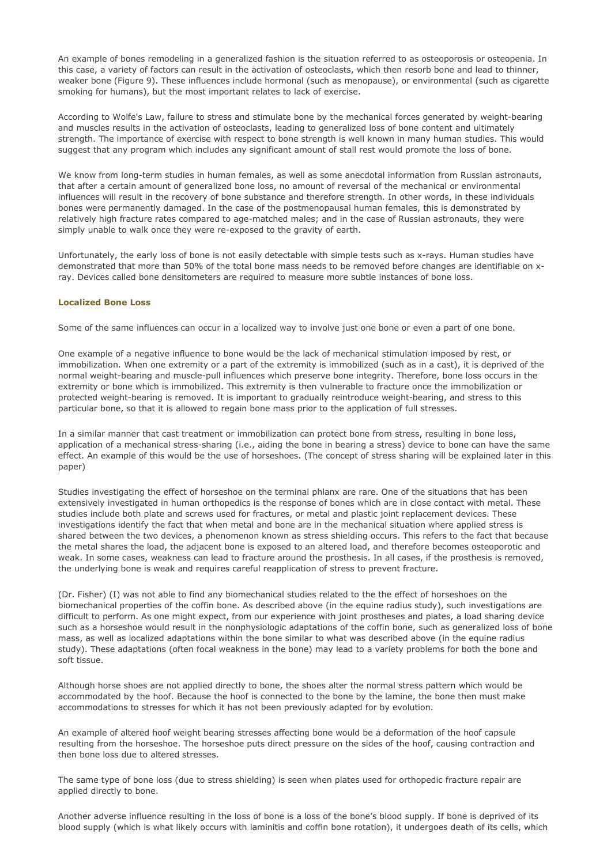An example of bones remodeling in a generalized fashion is the situation referred to as osteoporosis or osteopenia. In this case, a variety of factors can result in the activation of osteoclasts, which then resorb bone and lead to thinner, weaker bone (Figure 9). These influences include hormonal (such as menopause), or environmental (such as cigarette smoking for humans), but the most important relates to lack of exercise.

According to Wolfe's Law, failure to stress and stimulate bone by the mechanical forces generated by weight-bearing and muscles results in the activation of osteoclasts, leading to generalized loss of bone content and ultimately strength. The importance of exercise with respect to bone strength is well known in many human studies. This would suggest that any program which includes any significant amount of stall rest would promote the loss of bone.

We know from long-term studies in human females, as well as some anecdotal information from Russian astronauts, that after a certain amount of generalized bone loss, no amount of reversal of the mechanical or environmental influences will result in the recovery of bone substance and therefore strength. In other words, in these individuals bones were permanently damaged. In the case of the postmenopausal human females, this is demonstrated by relatively high fracture rates compared to age-matched males; and in the case of Russian astronauts, they were simply unable to walk once they were re-exposed to the gravity of earth.

Unfortunately, the early loss of bone is not easily detectable with simple tests such as x-rays. Human studies have demonstrated that more than 50% of the total bone mass needs to be removed before changes are identifiable on xray. Devices called bone densitometers are required to measure more subtle instances of bone loss.

#### Localized Bone Loss

Some of the same influences can occur in a localized way to involve just one bone or even a part of one bone.

One example of a negative influence to bone would be the lack of mechanical stimulation imposed by rest, or immobilization. When one extremity or a part of the extremity is immobilized (such as in a cast), it is deprived of the normal weight-bearing and muscle-pull influences which preserve bone integrity. Therefore, bone loss occurs in the extremity or bone which is immobilized. This extremity is then vulnerable to fracture once the immobilization or protected weight-bearing is removed. It is important to gradually reintroduce weight-bearing, and stress to this particular bone, so that it is allowed to regain bone mass prior to the application of full stresses.

In a similar manner that cast treatment or immobilization can protect bone from stress, resulting in bone loss, application of a mechanical stress-sharing (i.e., aiding the bone in bearing a stress) device to bone can have the same effect. An example of this would be the use of horseshoes. (The concept of stress sharing will be explained later in this paper)

Studies investigating the effect of horseshoe on the terminal phlanx are rare. One of the situations that has been extensively investigated in human orthopedics is the response of bones which are in close contact with metal. These studies include both plate and screws used for fractures, or metal and plastic joint replacement devices. These investigations identify the fact that when metal and bone are in the mechanical situation where applied stress is shared between the two devices, a phenomenon known as stress shielding occurs. This refers to the fact that because the metal shares the load, the adjacent bone is exposed to an altered load, and therefore becomes osteoporotic and weak. In some cases, weakness can lead to fracture around the prosthesis. In all cases, if the prosthesis is removed, the underlying bone is weak and requires careful reapplication of stress to prevent fracture.

(Dr. Fisher) (I) was not able to find any biomechanical studies related to the the effect of horseshoes on the biomechanical properties of the coffin bone. As described above (in the equine radius study), such investigations are difficult to perform. As one might expect, from our experience with joint prostheses and plates, a load sharing device such as a horseshoe would result in the nonphysiologic adaptations of the coffin bone, such as generalized loss of bone mass, as well as localized adaptations within the bone similar to what was described above (in the equine radius study). These adaptations (often focal weakness in the bone) may lead to a variety problems for both the bone and soft tissue.

Although horse shoes are not applied directly to bone, the shoes alter the normal stress pattern which would be accommodated by the hoof. Because the hoof is connected to the bone by the lamine, the bone then must make accommodations to stresses for which it has not been previously adapted for by evolution.

An example of altered hoof weight bearing stresses affecting bone would be a deformation of the hoof capsule resulting from the horseshoe. The horseshoe puts direct pressure on the sides of the hoof, causing contraction and then bone loss due to altered stresses.

The same type of bone loss (due to stress shielding) is seen when plates used for orthopedic fracture repair are applied directly to bone.

Another adverse influence resulting in the loss of bone is a loss of the bone's blood supply. If bone is deprived of its blood supply (which is what likely occurs with laminitis and coffin bone rotation), it undergoes death of its cells, which